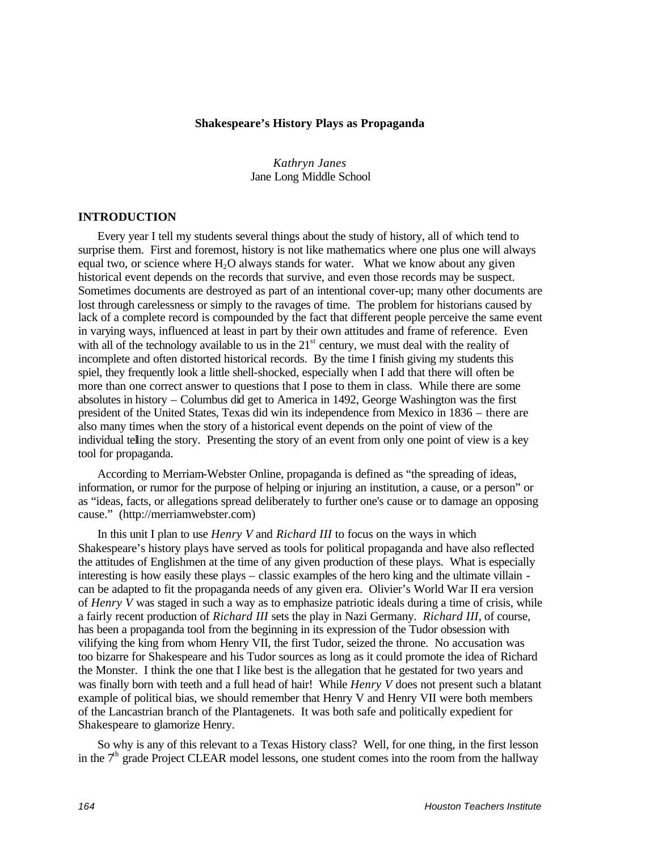#### **Shakespeare's History Plays as Propaganda**

*Kathryn Janes* Jane Long Middle School

#### **INTRODUCTION**

Every year I tell my students several things about the study of history, all of which tend to surprise them. First and foremost, history is not like mathematics where one plus one will always equal two, or science where  $H_2O$  always stands for water. What we know about any given historical event depends on the records that survive, and even those records may be suspect. Sometimes documents are destroyed as part of an intentional cover-up; many other documents are lost through carelessness or simply to the ravages of time. The problem for historians caused by lack of a complete record is compounded by the fact that different people perceive the same event in varying ways, influenced at least in part by their own attitudes and frame of reference. Even with all of the technology available to us in the  $21<sup>st</sup>$  century, we must deal with the reality of incomplete and often distorted historical records. By the time I finish giving my students this spiel, they frequently look a little shell-shocked, especially when I add that there will often be more than one correct answer to questions that I pose to them in class. While there are some absolutes in history – Columbus did get to America in 1492, George Washington was the first president of the United States, Texas did win its independence from Mexico in 1836 – there are also many times when the story of a historical event depends on the point of view of the individual telling the story. Presenting the story of an event from only one point of view is a key tool for propaganda.

According to Merriam-Webster Online, propaganda is defined as "the spreading of ideas, information, or rumor for the purpose of helping or injuring an institution, a cause, or a person" or as "ideas, facts, or allegations spread deliberately to further one's cause or to damage an opposing cause." (http://merriamwebster.com)

In this unit I plan to use *Henry V* and *Richard III* to focus on the ways in which Shakespeare's history plays have served as tools for political propaganda and have also reflected the attitudes of Englishmen at the time of any given production of these plays. What is especially interesting is how easily these plays – classic examples of the hero king and the ultimate villain can be adapted to fit the propaganda needs of any given era. Olivier's World War II era version of *Henry V* was staged in such a way as to emphasize patriotic ideals during a time of crisis, while a fairly recent production of *Richard III* sets the play in Nazi Germany. *Richard III*, of course, has been a propaganda tool from the beginning in its expression of the Tudor obsession with vilifying the king from whom Henry VII, the first Tudor, seized the throne. No accusation was too bizarre for Shakespeare and his Tudor sources as long as it could promote the idea of Richard the Monster. I think the one that I like best is the allegation that he gestated for two years and was finally born with teeth and a full head of hair! While *Henry V* does not present such a blatant example of political bias, we should remember that Henry V and Henry VII were both members of the Lancastrian branch of the Plantagenets. It was both safe and politically expedient for Shakespeare to glamorize Henry.

So why is any of this relevant to a Texas History class? Well, for one thing, in the first lesson in the  $7<sup>th</sup>$  grade Project CLEAR model lessons, one student comes into the room from the hallway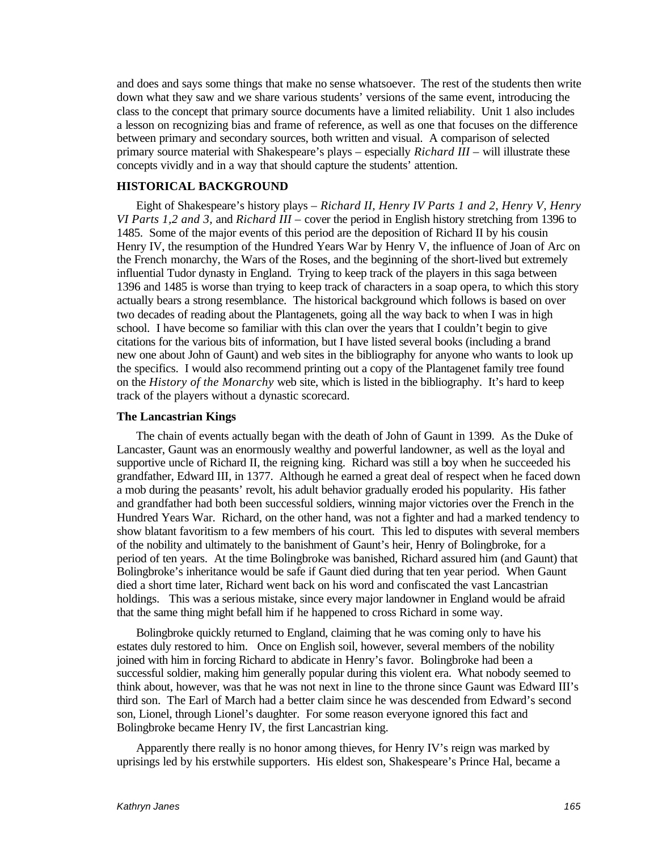and does and says some things that make no sense whatsoever. The rest of the students then write down what they saw and we share various students' versions of the same event, introducing the class to the concept that primary source documents have a limited reliability. Unit 1 also includes a lesson on recognizing bias and frame of reference, as well as one that focuses on the difference between primary and secondary sources, both written and visual. A comparison of selected primary source material with Shakespeare's plays – especially *Richard III* – will illustrate these concepts vividly and in a way that should capture the students' attention.

#### **HISTORICAL BACKGROUND**

Eight of Shakespeare's history plays – *Richard II, Henry IV Parts 1 and 2, Henry V, Henry VI Parts 1,2 and 3,* and *Richard III* – cover the period in English history stretching from 1396 to 1485. Some of the major events of this period are the deposition of Richard II by his cousin Henry IV, the resumption of the Hundred Years War by Henry V, the influence of Joan of Arc on the French monarchy, the Wars of the Roses, and the beginning of the short-lived but extremely influential Tudor dynasty in England. Trying to keep track of the players in this saga between 1396 and 1485 is worse than trying to keep track of characters in a soap opera, to which this story actually bears a strong resemblance. The historical background which follows is based on over two decades of reading about the Plantagenets, going all the way back to when I was in high school. I have become so familiar with this clan over the years that I couldn't begin to give citations for the various bits of information, but I have listed several books (including a brand new one about John of Gaunt) and web sites in the bibliography for anyone who wants to look up the specifics. I would also recommend printing out a copy of the Plantagenet family tree found on the *History of the Monarchy* web site, which is listed in the bibliography. It's hard to keep track of the players without a dynastic scorecard.

#### **The Lancastrian Kings**

The chain of events actually began with the death of John of Gaunt in 1399. As the Duke of Lancaster, Gaunt was an enormously wealthy and powerful landowner, as well as the loyal and supportive uncle of Richard II, the reigning king. Richard was still a boy when he succeeded his grandfather, Edward III, in 1377. Although he earned a great deal of respect when he faced down a mob during the peasants' revolt, his adult behavior gradually eroded his popularity. His father and grandfather had both been successful soldiers, winning major victories over the French in the Hundred Years War. Richard, on the other hand, was not a fighter and had a marked tendency to show blatant favoritism to a few members of his court. This led to disputes with several members of the nobility and ultimately to the banishment of Gaunt's heir, Henry of Bolingbroke, for a period of ten years. At the time Bolingbroke was banished, Richard assured him (and Gaunt) that Bolingbroke's inheritance would be safe if Gaunt died during that ten year period. When Gaunt died a short time later, Richard went back on his word and confiscated the vast Lancastrian holdings. This was a serious mistake, since every major landowner in England would be afraid that the same thing might befall him if he happened to cross Richard in some way.

Bolingbroke quickly returned to England, claiming that he was coming only to have his estates duly restored to him. Once on English soil, however, several members of the nobility joined with him in forcing Richard to abdicate in Henry's favor. Bolingbroke had been a successful soldier, making him generally popular during this violent era. What nobody seemed to think about, however, was that he was not next in line to the throne since Gaunt was Edward III's third son. The Earl of March had a better claim since he was descended from Edward's second son, Lionel, through Lionel's daughter. For some reason everyone ignored this fact and Bolingbroke became Henry IV, the first Lancastrian king.

Apparently there really is no honor among thieves, for Henry IV's reign was marked by uprisings led by his erstwhile supporters. His eldest son, Shakespeare's Prince Hal, became a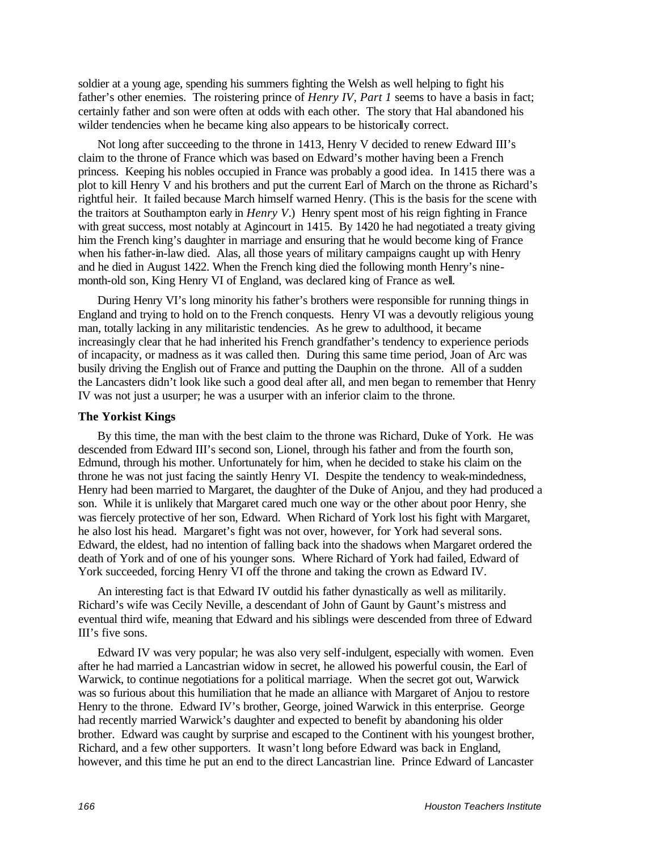soldier at a young age, spending his summers fighting the Welsh as well helping to fight his father's other enemies. The roistering prince of *Henry IV, Part 1* seems to have a basis in fact; certainly father and son were often at odds with each other. The story that Hal abandoned his wilder tendencies when he became king also appears to be historically correct.

Not long after succeeding to the throne in 1413, Henry V decided to renew Edward III's claim to the throne of France which was based on Edward's mother having been a French princess. Keeping his nobles occupied in France was probably a good idea. In 1415 there was a plot to kill Henry V and his brothers and put the current Earl of March on the throne as Richard's rightful heir. It failed because March himself warned Henry. (This is the basis for the scene with the traitors at Southampton early in *Henry V*.) Henry spent most of his reign fighting in France with great success, most notably at Agincourt in 1415. By 1420 he had negotiated a treaty giving him the French king's daughter in marriage and ensuring that he would become king of France when his father-in-law died. Alas, all those years of military campaigns caught up with Henry and he died in August 1422. When the French king died the following month Henry's ninemonth-old son, King Henry VI of England, was declared king of France as well.

During Henry VI's long minority his father's brothers were responsible for running things in England and trying to hold on to the French conquests. Henry VI was a devoutly religious young man, totally lacking in any militaristic tendencies. As he grew to adulthood, it became increasingly clear that he had inherited his French grandfather's tendency to experience periods of incapacity, or madness as it was called then. During this same time period, Joan of Arc was busily driving the English out of France and putting the Dauphin on the throne. All of a sudden the Lancasters didn't look like such a good deal after all, and men began to remember that Henry IV was not just a usurper; he was a usurper with an inferior claim to the throne.

#### **The Yorkist Kings**

By this time, the man with the best claim to the throne was Richard, Duke of York. He was descended from Edward III's second son, Lionel, through his father and from the fourth son, Edmund, through his mother. Unfortunately for him, when he decided to stake his claim on the throne he was not just facing the saintly Henry VI. Despite the tendency to weak-mindedness, Henry had been married to Margaret, the daughter of the Duke of Anjou, and they had produced a son. While it is unlikely that Margaret cared much one way or the other about poor Henry, she was fiercely protective of her son, Edward. When Richard of York lost his fight with Margaret, he also lost his head. Margaret's fight was not over, however, for York had several sons. Edward, the eldest, had no intention of falling back into the shadows when Margaret ordered the death of York and of one of his younger sons. Where Richard of York had failed, Edward of York succeeded, forcing Henry VI off the throne and taking the crown as Edward IV.

An interesting fact is that Edward IV outdid his father dynastically as well as militarily. Richard's wife was Cecily Neville, a descendant of John of Gaunt by Gaunt's mistress and eventual third wife, meaning that Edward and his siblings were descended from three of Edward III's five sons.

Edward IV was very popular; he was also very self-indulgent, especially with women. Even after he had married a Lancastrian widow in secret, he allowed his powerful cousin, the Earl of Warwick, to continue negotiations for a political marriage. When the secret got out, Warwick was so furious about this humiliation that he made an alliance with Margaret of Anjou to restore Henry to the throne. Edward IV's brother, George, joined Warwick in this enterprise. George had recently married Warwick's daughter and expected to benefit by abandoning his older brother. Edward was caught by surprise and escaped to the Continent with his youngest brother, Richard, and a few other supporters. It wasn't long before Edward was back in England, however, and this time he put an end to the direct Lancastrian line. Prince Edward of Lancaster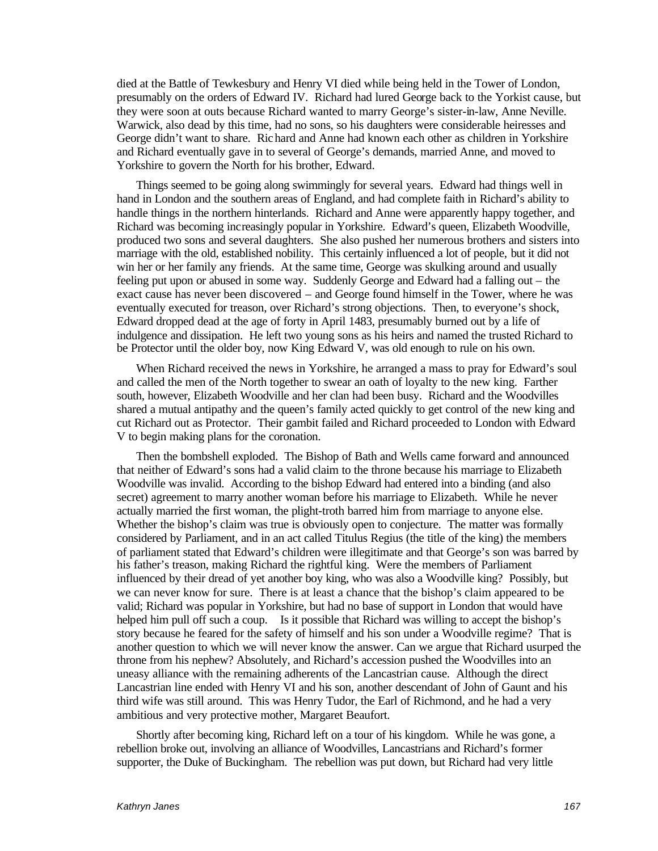died at the Battle of Tewkesbury and Henry VI died while being held in the Tower of London, presumably on the orders of Edward IV. Richard had lured George back to the Yorkist cause, but they were soon at outs because Richard wanted to marry George's sister-in-law, Anne Neville. Warwick, also dead by this time, had no sons, so his daughters were considerable heiresses and George didn't want to share. Richard and Anne had known each other as children in Yorkshire and Richard eventually gave in to several of George's demands, married Anne, and moved to Yorkshire to govern the North for his brother, Edward.

Things seemed to be going along swimmingly for several years. Edward had things well in hand in London and the southern areas of England, and had complete faith in Richard's ability to handle things in the northern hinterlands. Richard and Anne were apparently happy together, and Richard was becoming increasingly popular in Yorkshire. Edward's queen, Elizabeth Woodville, produced two sons and several daughters. She also pushed her numerous brothers and sisters into marriage with the old, established nobility. This certainly influenced a lot of people, but it did not win her or her family any friends. At the same time, George was skulking around and usually feeling put upon or abused in some way. Suddenly George and Edward had a falling out – the exact cause has never been discovered – and George found himself in the Tower, where he was eventually executed for treason, over Richard's strong objections. Then, to everyone's shock, Edward dropped dead at the age of forty in April 1483, presumably burned out by a life of indulgence and dissipation. He left two young sons as his heirs and named the trusted Richard to be Protector until the older boy, now King Edward V, was old enough to rule on his own.

When Richard received the news in Yorkshire, he arranged a mass to pray for Edward's soul and called the men of the North together to swear an oath of loyalty to the new king. Farther south, however, Elizabeth Woodville and her clan had been busy. Richard and the Woodvilles shared a mutual antipathy and the queen's family acted quickly to get control of the new king and cut Richard out as Protector. Their gambit failed and Richard proceeded to London with Edward V to begin making plans for the coronation.

Then the bombshell exploded. The Bishop of Bath and Wells came forward and announced that neither of Edward's sons had a valid claim to the throne because his marriage to Elizabeth Woodville was invalid. According to the bishop Edward had entered into a binding (and also secret) agreement to marry another woman before his marriage to Elizabeth. While he never actually married the first woman, the plight-troth barred him from marriage to anyone else. Whether the bishop's claim was true is obviously open to conjecture. The matter was formally considered by Parliament, and in an act called Titulus Regius (the title of the king) the members of parliament stated that Edward's children were illegitimate and that George's son was barred by his father's treason, making Richard the rightful king. Were the members of Parliament influenced by their dread of yet another boy king, who was also a Woodville king? Possibly, but we can never know for sure. There is at least a chance that the bishop's claim appeared to be valid; Richard was popular in Yorkshire, but had no base of support in London that would have helped him pull off such a coup. Is it possible that Richard was willing to accept the bishop's story because he feared for the safety of himself and his son under a Woodville regime? That is another question to which we will never know the answer. Can we argue that Richard usurped the throne from his nephew? Absolutely, and Richard's accession pushed the Woodvilles into an uneasy alliance with the remaining adherents of the Lancastrian cause. Although the direct Lancastrian line ended with Henry VI and his son, another descendant of John of Gaunt and his third wife was still around. This was Henry Tudor, the Earl of Richmond, and he had a very ambitious and very protective mother, Margaret Beaufort.

Shortly after becoming king, Richard left on a tour of his kingdom. While he was gone, a rebellion broke out, involving an alliance of Woodvilles, Lancastrians and Richard's former supporter, the Duke of Buckingham. The rebellion was put down, but Richard had very little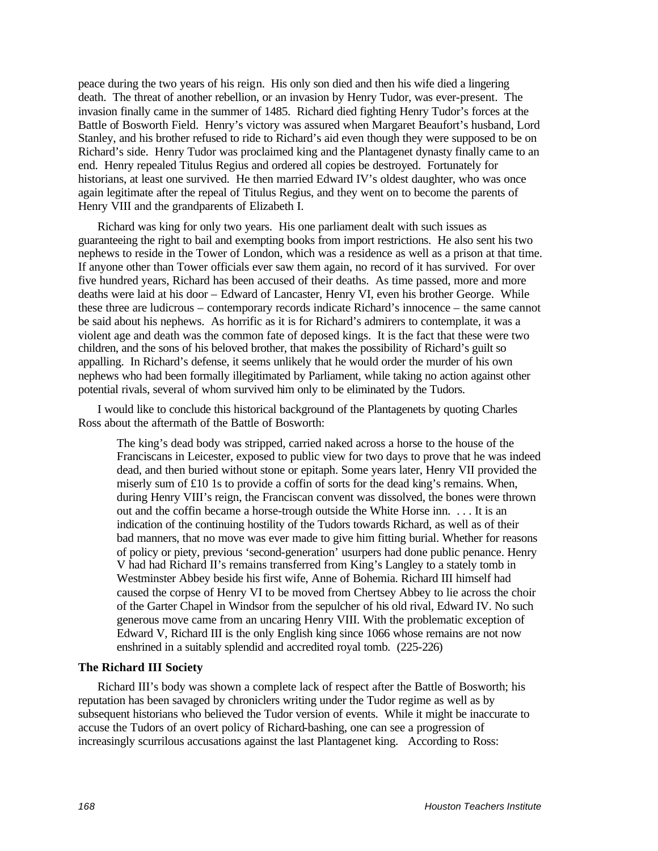peace during the two years of his reign. His only son died and then his wife died a lingering death. The threat of another rebellion, or an invasion by Henry Tudor, was ever-present. The invasion finally came in the summer of 1485. Richard died fighting Henry Tudor's forces at the Battle of Bosworth Field. Henry's victory was assured when Margaret Beaufort's husband, Lord Stanley, and his brother refused to ride to Richard's aid even though they were supposed to be on Richard's side. Henry Tudor was proclaimed king and the Plantagenet dynasty finally came to an end. Henry repealed Titulus Regius and ordered all copies be destroyed. Fortunately for historians, at least one survived. He then married Edward IV's oldest daughter, who was once again legitimate after the repeal of Titulus Regius, and they went on to become the parents of Henry VIII and the grandparents of Elizabeth I.

Richard was king for only two years. His one parliament dealt with such issues as guaranteeing the right to bail and exempting books from import restrictions. He also sent his two nephews to reside in the Tower of London, which was a residence as well as a prison at that time. If anyone other than Tower officials ever saw them again, no record of it has survived. For over five hundred years, Richard has been accused of their deaths. As time passed, more and more deaths were laid at his door – Edward of Lancaster, Henry VI, even his brother George. While these three are ludicrous – contemporary records indicate Richard's innocence – the same cannot be said about his nephews. As horrific as it is for Richard's admirers to contemplate, it was a violent age and death was the common fate of deposed kings. It is the fact that these were two children, and the sons of his beloved brother, that makes the possibility of Richard's guilt so appalling. In Richard's defense, it seems unlikely that he would order the murder of his own nephews who had been formally illegitimated by Parliament, while taking no action against other potential rivals, several of whom survived him only to be eliminated by the Tudors.

I would like to conclude this historical background of the Plantagenets by quoting Charles Ross about the aftermath of the Battle of Bosworth:

The king's dead body was stripped, carried naked across a horse to the house of the Franciscans in Leicester, exposed to public view for two days to prove that he was indeed dead, and then buried without stone or epitaph. Some years later, Henry VII provided the miserly sum of £10 1s to provide a coffin of sorts for the dead king's remains. When, during Henry VIII's reign, the Franciscan convent was dissolved, the bones were thrown out and the coffin became a horse-trough outside the White Horse inn. . . . It is an indication of the continuing hostility of the Tudors towards Richard, as well as of their bad manners, that no move was ever made to give him fitting burial. Whether for reasons of policy or piety, previous 'second-generation' usurpers had done public penance. Henry V had had Richard II's remains transferred from King's Langley to a stately tomb in Westminster Abbey beside his first wife, Anne of Bohemia. Richard III himself had caused the corpse of Henry VI to be moved from Chertsey Abbey to lie across the choir of the Garter Chapel in Windsor from the sepulcher of his old rival, Edward IV. No such generous move came from an uncaring Henry VIII. With the problematic exception of Edward V, Richard III is the only English king since 1066 whose remains are not now enshrined in a suitably splendid and accredited royal tomb. (225-226)

#### **The Richard III Society**

Richard III's body was shown a complete lack of respect after the Battle of Bosworth; his reputation has been savaged by chroniclers writing under the Tudor regime as well as by subsequent historians who believed the Tudor version of events. While it might be inaccurate to accuse the Tudors of an overt policy of Richard-bashing, one can see a progression of increasingly scurrilous accusations against the last Plantagenet king. According to Ross: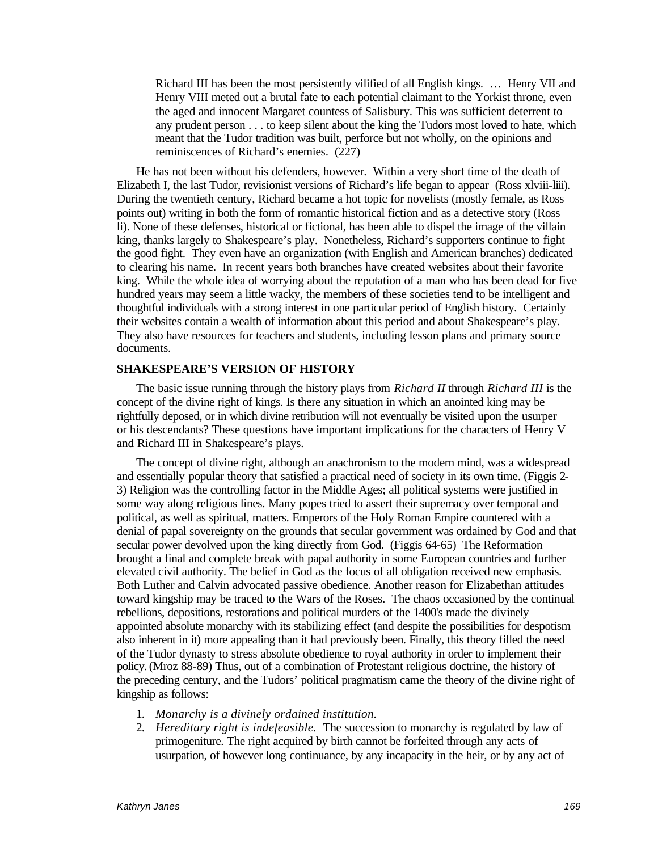Richard III has been the most persistently vilified of all English kings. … Henry VII and Henry VIII meted out a brutal fate to each potential claimant to the Yorkist throne, even the aged and innocent Margaret countess of Salisbury. This was sufficient deterrent to any prudent person . . . to keep silent about the king the Tudors most loved to hate, which meant that the Tudor tradition was built, perforce but not wholly, on the opinions and reminiscences of Richard's enemies. (227)

He has not been without his defenders, however. Within a very short time of the death of Elizabeth I, the last Tudor, revisionist versions of Richard's life began to appear (Ross xlviii-liii). During the twentieth century, Richard became a hot topic for novelists (mostly female, as Ross points out) writing in both the form of romantic historical fiction and as a detective story (Ross li). None of these defenses, historical or fictional, has been able to dispel the image of the villain king, thanks largely to Shakespeare's play. Nonetheless, Richard's supporters continue to fight the good fight. They even have an organization (with English and American branches) dedicated to clearing his name. In recent years both branches have created websites about their favorite king. While the whole idea of worrying about the reputation of a man who has been dead for five hundred years may seem a little wacky, the members of these societies tend to be intelligent and thoughtful individuals with a strong interest in one particular period of English history. Certainly their websites contain a wealth of information about this period and about Shakespeare's play. They also have resources for teachers and students, including lesson plans and primary source documents.

#### **SHAKESPEARE'S VERSION OF HISTORY**

The basic issue running through the history plays from *Richard II* through *Richard III* is the concept of the divine right of kings. Is there any situation in which an anointed king may be rightfully deposed, or in which divine retribution will not eventually be visited upon the usurper or his descendants? These questions have important implications for the characters of Henry V and Richard III in Shakespeare's plays.

The concept of divine right, although an anachronism to the modern mind, was a widespread and essentially popular theory that satisfied a practical need of society in its own time. (Figgis 2- 3) Religion was the controlling factor in the Middle Ages; all political systems were justified in some way along religious lines. Many popes tried to assert their supremacy over temporal and political, as well as spiritual, matters. Emperors of the Holy Roman Empire countered with a denial of papal sovereignty on the grounds that secular government was ordained by God and that secular power devolved upon the king directly from God. (Figgis 64-65) The Reformation brought a final and complete break with papal authority in some European countries and further elevated civil authority. The belief in God as the focus of all obligation received new emphasis. Both Luther and Calvin advocated passive obedience. Another reason for Elizabethan attitudes toward kingship may be traced to the Wars of the Roses. The chaos occasioned by the continual rebellions, depositions, restorations and political murders of the 1400's made the divinely appointed absolute monarchy with its stabilizing effect (and despite the possibilities for despotism also inherent in it) more appealing than it had previously been. Finally, this theory filled the need of the Tudor dynasty to stress absolute obedience to royal authority in order to implement their policy.(Mroz 88-89) Thus, out of a combination of Protestant religious doctrine, the history of the preceding century, and the Tudors' political pragmatism came the theory of the divine right of kingship as follows:

- 1. *Monarchy is a divinely ordained institution.*
- 2. *Hereditary right is indefeasible.* The succession to monarchy is regulated by law of primogeniture. The right acquired by birth cannot be forfeited through any acts of usurpation, of however long continuance, by any incapacity in the heir, or by any act of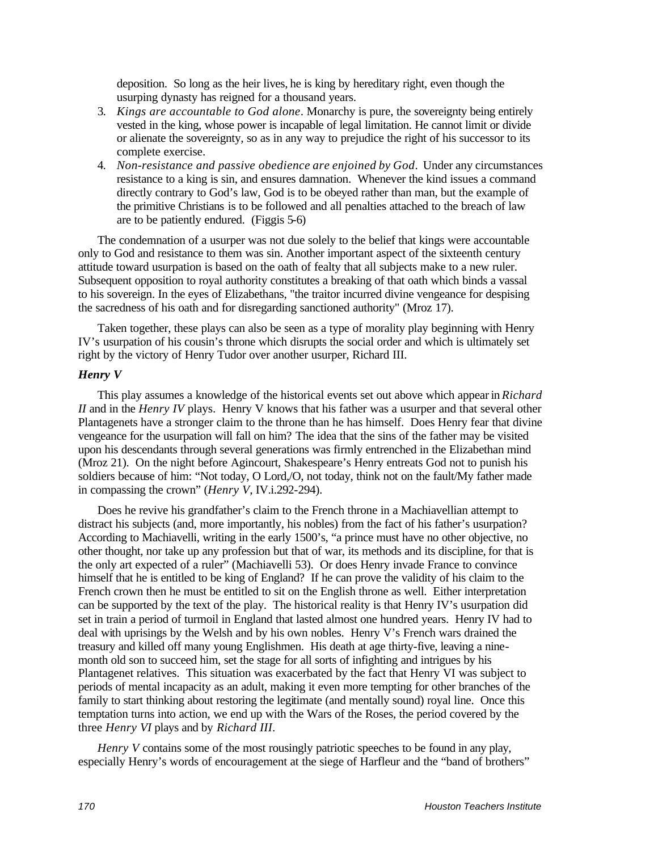deposition. So long as the heir lives, he is king by hereditary right, even though the usurping dynasty has reigned for a thousand years.

- 3. *Kings are accountable to God alone*. Monarchy is pure, the sovereignty being entirely vested in the king, whose power is incapable of legal limitation. He cannot limit or divide or alienate the sovereignty, so as in any way to prejudice the right of his successor to its complete exercise.
- 4. *Non-resistance and passive obedience are enjoined by God*. Under any circumstances resistance to a king is sin, and ensures damnation. Whenever the kind issues a command directly contrary to God's law, God is to be obeyed rather than man, but the example of the primitive Christians is to be followed and all penalties attached to the breach of law are to be patiently endured. (Figgis 5-6)

The condemnation of a usurper was not due solely to the belief that kings were accountable only to God and resistance to them was sin. Another important aspect of the sixteenth century attitude toward usurpation is based on the oath of fealty that all subjects make to a new ruler. Subsequent opposition to royal authority constitutes a breaking of that oath which binds a vassal to his sovereign. In the eyes of Elizabethans, "the traitor incurred divine vengeance for despising the sacredness of his oath and for disregarding sanctioned authority" (Mroz 17).

Taken together, these plays can also be seen as a type of morality play beginning with Henry IV's usurpation of his cousin's throne which disrupts the social order and which is ultimately set right by the victory of Henry Tudor over another usurper, Richard III.

## *Henry V*

This play assumes a knowledge of the historical events set out above which appear in *Richard II* and in the *Henry IV* plays. Henry V knows that his father was a usurper and that several other Plantagenets have a stronger claim to the throne than he has himself. Does Henry fear that divine vengeance for the usurpation will fall on him? The idea that the sins of the father may be visited upon his descendants through several generations was firmly entrenched in the Elizabethan mind (Mroz 21). On the night before Agincourt, Shakespeare's Henry entreats God not to punish his soldiers because of him: "Not today, O Lord,/O, not today, think not on the fault/My father made in compassing the crown" (*Henry V*, IV.i.292-294).

Does he revive his grandfather's claim to the French throne in a Machiavellian attempt to distract his subjects (and, more importantly, his nobles) from the fact of his father's usurpation? According to Machiavelli, writing in the early 1500's, "a prince must have no other objective, no other thought, nor take up any profession but that of war, its methods and its discipline, for that is the only art expected of a ruler" (Machiavelli 53). Or does Henry invade France to convince himself that he is entitled to be king of England? If he can prove the validity of his claim to the French crown then he must be entitled to sit on the English throne as well. Either interpretation can be supported by the text of the play. The historical reality is that Henry IV's usurpation did set in train a period of turmoil in England that lasted almost one hundred years. Henry IV had to deal with uprisings by the Welsh and by his own nobles. Henry V's French wars drained the treasury and killed off many young Englishmen. His death at age thirty-five, leaving a ninemonth old son to succeed him, set the stage for all sorts of infighting and intrigues by his Plantagenet relatives. This situation was exacerbated by the fact that Henry VI was subject to periods of mental incapacity as an adult, making it even more tempting for other branches of the family to start thinking about restoring the legitimate (and mentally sound) royal line. Once this temptation turns into action, we end up with the Wars of the Roses, the period covered by the three *Henry VI* plays and by *Richard III*.

*Henry V* contains some of the most rousingly patriotic speeches to be found in any play, especially Henry's words of encouragement at the siege of Harfleur and the "band of brothers"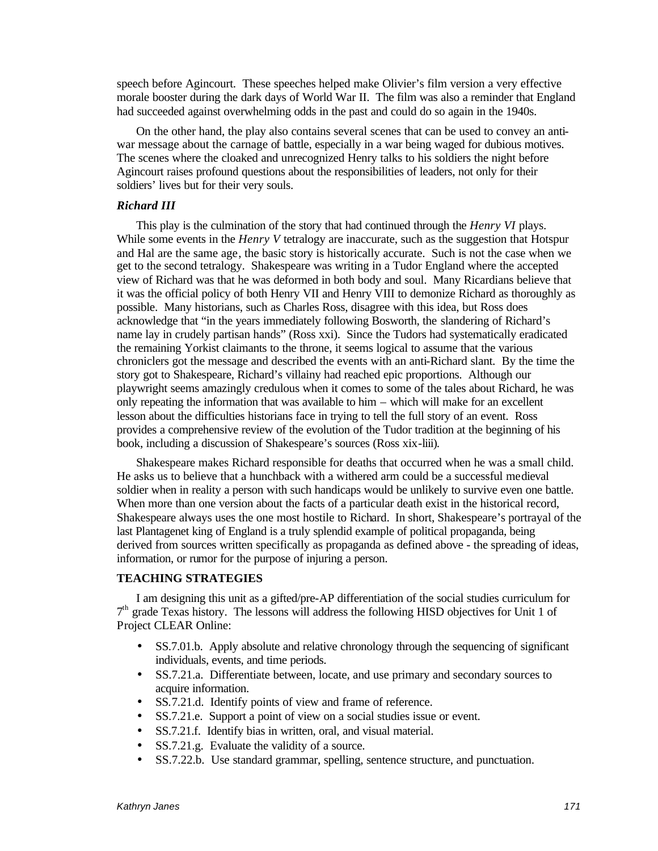speech before Agincourt. These speeches helped make Olivier's film version a very effective morale booster during the dark days of World War II. The film was also a reminder that England had succeeded against overwhelming odds in the past and could do so again in the 1940s.

On the other hand, the play also contains several scenes that can be used to convey an antiwar message about the carnage of battle, especially in a war being waged for dubious motives. The scenes where the cloaked and unrecognized Henry talks to his soldiers the night before Agincourt raises profound questions about the responsibilities of leaders, not only for their soldiers' lives but for their very souls.

#### *Richard III*

This play is the culmination of the story that had continued through the *Henry VI* plays. While some events in the *Henry V* tetralogy are inaccurate, such as the suggestion that Hotspur and Hal are the same age, the basic story is historically accurate. Such is not the case when we get to the second tetralogy. Shakespeare was writing in a Tudor England where the accepted view of Richard was that he was deformed in both body and soul. Many Ricardians believe that it was the official policy of both Henry VII and Henry VIII to demonize Richard as thoroughly as possible. Many historians, such as Charles Ross, disagree with this idea, but Ross does acknowledge that "in the years immediately following Bosworth, the slandering of Richard's name lay in crudely partisan hands" (Ross xxi). Since the Tudors had systematically eradicated the remaining Yorkist claimants to the throne, it seems logical to assume that the various chroniclers got the message and described the events with an anti-Richard slant. By the time the story got to Shakespeare, Richard's villainy had reached epic proportions. Although our playwright seems amazingly credulous when it comes to some of the tales about Richard, he was only repeating the information that was available to him – which will make for an excellent lesson about the difficulties historians face in trying to tell the full story of an event. Ross provides a comprehensive review of the evolution of the Tudor tradition at the beginning of his book, including a discussion of Shakespeare's sources (Ross xix-liii).

Shakespeare makes Richard responsible for deaths that occurred when he was a small child. He asks us to believe that a hunchback with a withered arm could be a successful medieval soldier when in reality a person with such handicaps would be unlikely to survive even one battle. When more than one version about the facts of a particular death exist in the historical record, Shakespeare always uses the one most hostile to Richard. In short, Shakespeare's portrayal of the last Plantagenet king of England is a truly splendid example of political propaganda, being derived from sources written specifically as propaganda as defined above - the spreading of ideas, information, or rumor for the purpose of injuring a person.

#### **TEACHING STRATEGIES**

I am designing this unit as a gifted/pre-AP differentiation of the social studies curriculum for 7<sup>th</sup> grade Texas history. The lessons will address the following HISD objectives for Unit 1 of Project CLEAR Online:

- SS.7.01.b. Apply absolute and relative chronology through the sequencing of significant individuals, events, and time periods.
- SS.7.21.a. Differentiate between, locate, and use primary and secondary sources to acquire information.
- SS.7.21.d. Identify points of view and frame of reference.
- SS.7.21.e. Support a point of view on a social studies issue or event.
- SS.7.21.f. Identify bias in written, oral, and visual material.
- SS.7.21.g. Evaluate the validity of a source.
- SS.7.22.b. Use standard grammar, spelling, sentence structure, and punctuation.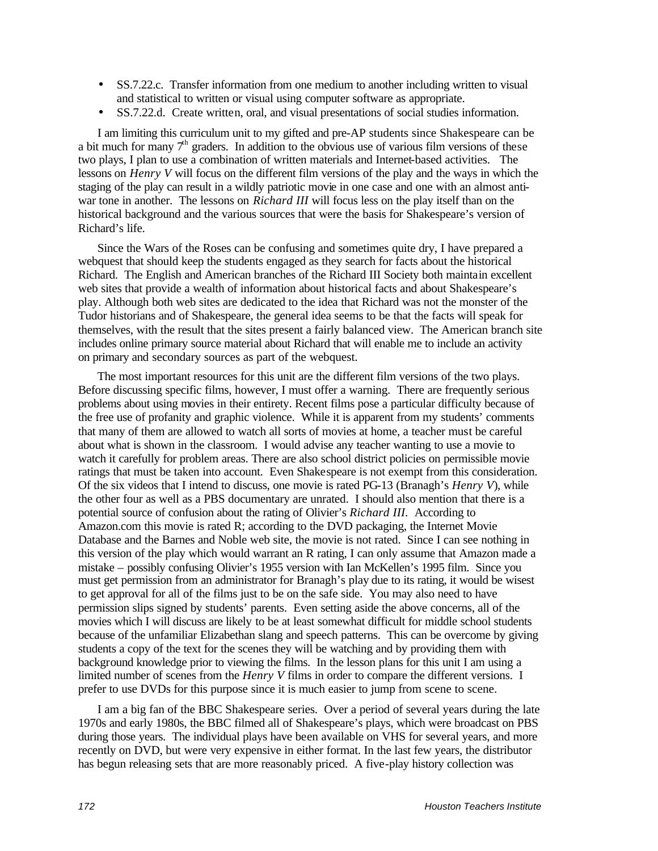- SS.7.22.c. Transfer information from one medium to another including written to visual and statistical to written or visual using computer software as appropriate.
- SS.7.22.d. Create written, oral, and visual presentations of social studies information.

I am limiting this curriculum unit to my gifted and pre-AP students since Shakespeare can be a bit much for many  $7<sup>th</sup>$  graders. In addition to the obvious use of various film versions of these two plays, I plan to use a combination of written materials and Internet-based activities. The lessons on *Henry V* will focus on the different film versions of the play and the ways in which the staging of the play can result in a wildly patriotic movie in one case and one with an almost antiwar tone in another. The lessons on *Richard III* will focus less on the play itself than on the historical background and the various sources that were the basis for Shakespeare's version of Richard's life.

Since the Wars of the Roses can be confusing and sometimes quite dry, I have prepared a webquest that should keep the students engaged as they search for facts about the historical Richard. The English and American branches of the Richard III Society both maintain excellent web sites that provide a wealth of information about historical facts and about Shakespeare's play. Although both web sites are dedicated to the idea that Richard was not the monster of the Tudor historians and of Shakespeare, the general idea seems to be that the facts will speak for themselves, with the result that the sites present a fairly balanced view. The American branch site includes online primary source material about Richard that will enable me to include an activity on primary and secondary sources as part of the webquest.

The most important resources for this unit are the different film versions of the two plays. Before discussing specific films, however, I must offer a warning. There are frequently serious problems about using movies in their entirety. Recent films pose a particular difficulty because of the free use of profanity and graphic violence. While it is apparent from my students' comments that many of them are allowed to watch all sorts of movies at home, a teacher must be careful about what is shown in the classroom. I would advise any teacher wanting to use a movie to watch it carefully for problem areas. There are also school district policies on permissible movie ratings that must be taken into account. Even Shakespeare is not exempt from this consideration. Of the six videos that I intend to discuss, one movie is rated PG-13 (Branagh's *Henry V*), while the other four as well as a PBS documentary are unrated. I should also mention that there is a potential source of confusion about the rating of Olivier's *Richard III.* According to Amazon.com this movie is rated R; according to the DVD packaging, the Internet Movie Database and the Barnes and Noble web site, the movie is not rated. Since I can see nothing in this version of the play which would warrant an R rating, I can only assume that Amazon made a mistake – possibly confusing Olivier's 1955 version with Ian McKellen's 1995 film. Since you must get permission from an administrator for Branagh's play due to its rating, it would be wisest to get approval for all of the films just to be on the safe side. You may also need to have permission slips signed by students' parents. Even setting aside the above concerns, all of the movies which I will discuss are likely to be at least somewhat difficult for middle school students because of the unfamiliar Elizabethan slang and speech patterns. This can be overcome by giving students a copy of the text for the scenes they will be watching and by providing them with background knowledge prior to viewing the films. In the lesson plans for this unit I am using a limited number of scenes from the *Henry V* films in order to compare the different versions. I prefer to use DVDs for this purpose since it is much easier to jump from scene to scene.

I am a big fan of the BBC Shakespeare series. Over a period of several years during the late 1970s and early 1980s, the BBC filmed all of Shakespeare's plays, which were broadcast on PBS during those years. The individual plays have been available on VHS for several years, and more recently on DVD, but were very expensive in either format. In the last few years, the distributor has begun releasing sets that are more reasonably priced. A five-play history collection was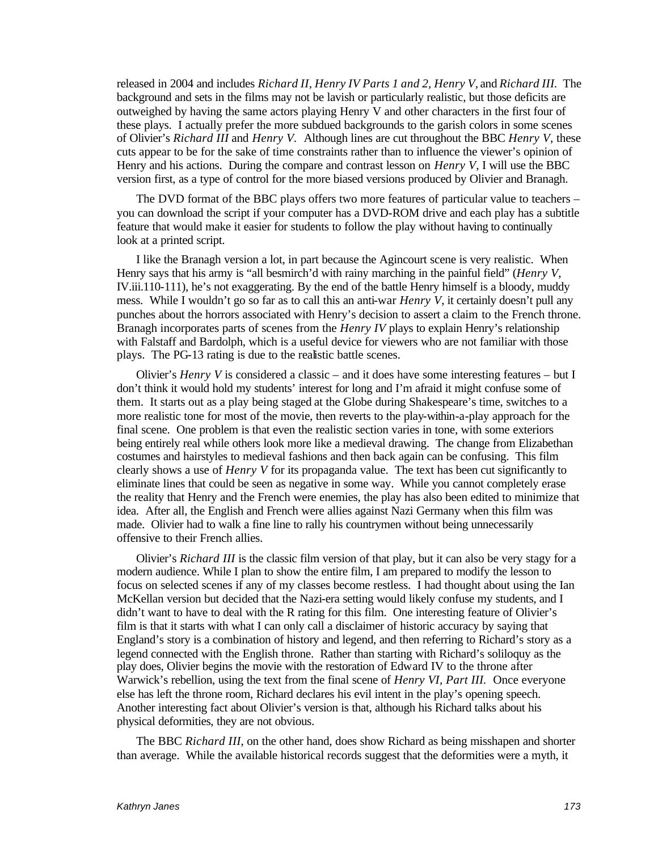released in 2004 and includes *Richard II, Henry IV Parts 1 and 2, Henry V,* and *Richard III.* The background and sets in the films may not be lavish or particularly realistic, but those deficits are outweighed by having the same actors playing Henry V and other characters in the first four of these plays. I actually prefer the more subdued backgrounds to the garish colors in some scenes of Olivier's *Richard III* and *Henry V.* Although lines are cut throughout the BBC *Henry V*, these cuts appear to be for the sake of time constraints rather than to influence the viewer's opinion of Henry and his actions. During the compare and contrast lesson on *Henry V*, I will use the BBC version first, as a type of control for the more biased versions produced by Olivier and Branagh.

The DVD format of the BBC plays offers two more features of particular value to teachers – you can download the script if your computer has a DVD-ROM drive and each play has a subtitle feature that would make it easier for students to follow the play without having to continually look at a printed script.

I like the Branagh version a lot, in part because the Agincourt scene is very realistic. When Henry says that his army is "all besmirch'd with rainy marching in the painful field" (*Henry V*, IV.iii.110-111), he's not exaggerating. By the end of the battle Henry himself is a bloody, muddy mess. While I wouldn't go so far as to call this an anti-war *Henry V*, it certainly doesn't pull any punches about the horrors associated with Henry's decision to assert a claim to the French throne. Branagh incorporates parts of scenes from the *Henry IV* plays to explain Henry's relationship with Falstaff and Bardolph, which is a useful device for viewers who are not familiar with those plays. The PG-13 rating is due to the realistic battle scenes.

Olivier's *Henry V* is considered a classic – and it does have some interesting features – but I don't think it would hold my students' interest for long and I'm afraid it might confuse some of them. It starts out as a play being staged at the Globe during Shakespeare's time, switches to a more realistic tone for most of the movie, then reverts to the play-within-a-play approach for the final scene. One problem is that even the realistic section varies in tone, with some exteriors being entirely real while others look more like a medieval drawing. The change from Elizabethan costumes and hairstyles to medieval fashions and then back again can be confusing. This film clearly shows a use of *Henry V* for its propaganda value. The text has been cut significantly to eliminate lines that could be seen as negative in some way. While you cannot completely erase the reality that Henry and the French were enemies, the play has also been edited to minimize that idea. After all, the English and French were allies against Nazi Germany when this film was made. Olivier had to walk a fine line to rally his countrymen without being unnecessarily offensive to their French allies.

Olivier's *Richard III* is the classic film version of that play, but it can also be very stagy for a modern audience. While I plan to show the entire film, I am prepared to modify the lesson to focus on selected scenes if any of my classes become restless. I had thought about using the Ian McKellan version but decided that the Nazi-era setting would likely confuse my students, and I didn't want to have to deal with the R rating for this film. One interesting feature of Olivier's film is that it starts with what I can only call a disclaimer of historic accuracy by saying that England's story is a combination of history and legend, and then referring to Richard's story as a legend connected with the English throne. Rather than starting with Richard's soliloquy as the play does, Olivier begins the movie with the restoration of Edward IV to the throne after Warwick's rebellion, using the text from the final scene of *Henry VI, Part III*. Once everyone else has left the throne room, Richard declares his evil intent in the play's opening speech. Another interesting fact about Olivier's version is that, although his Richard talks about his physical deformities, they are not obvious.

The BBC *Richard III*, on the other hand, does show Richard as being misshapen and shorter than average. While the available historical records suggest that the deformities were a myth, it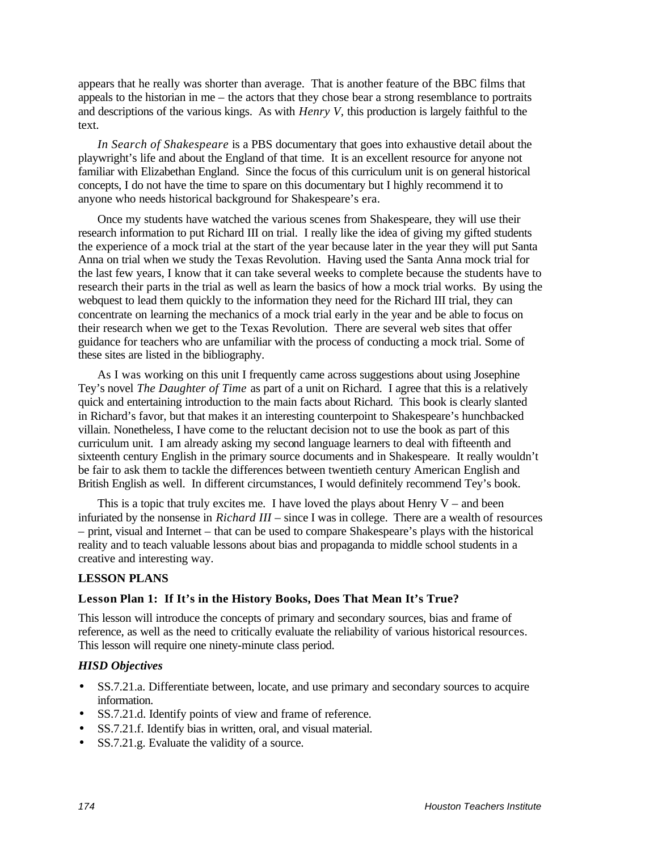appears that he really was shorter than average. That is another feature of the BBC films that appeals to the historian in me – the actors that they chose bear a strong resemblance to portraits and descriptions of the various kings. As with *Henry V,* this production is largely faithful to the text.

*In Search of Shakespeare* is a PBS documentary that goes into exhaustive detail about the playwright's life and about the England of that time. It is an excellent resource for anyone not familiar with Elizabethan England. Since the focus of this curriculum unit is on general historical concepts, I do not have the time to spare on this documentary but I highly recommend it to anyone who needs historical background for Shakespeare's era.

Once my students have watched the various scenes from Shakespeare, they will use their research information to put Richard III on trial. I really like the idea of giving my gifted students the experience of a mock trial at the start of the year because later in the year they will put Santa Anna on trial when we study the Texas Revolution. Having used the Santa Anna mock trial for the last few years, I know that it can take several weeks to complete because the students have to research their parts in the trial as well as learn the basics of how a mock trial works. By using the webquest to lead them quickly to the information they need for the Richard III trial, they can concentrate on learning the mechanics of a mock trial early in the year and be able to focus on their research when we get to the Texas Revolution. There are several web sites that offer guidance for teachers who are unfamiliar with the process of conducting a mock trial. Some of these sites are listed in the bibliography.

As I was working on this unit I frequently came across suggestions about using Josephine Tey's novel *The Daughter of Time* as part of a unit on Richard. I agree that this is a relatively quick and entertaining introduction to the main facts about Richard. This book is clearly slanted in Richard's favor, but that makes it an interesting counterpoint to Shakespeare's hunchbacked villain. Nonetheless, I have come to the reluctant decision not to use the book as part of this curriculum unit. I am already asking my second language learners to deal with fifteenth and sixteenth century English in the primary source documents and in Shakespeare. It really wouldn't be fair to ask them to tackle the differences between twentieth century American English and British English as well. In different circumstances, I would definitely recommend Tey's book.

This is a topic that truly excites me. I have loved the plays about Henry  $V -$  and been infuriated by the nonsense in *Richard III* – since I was in college. There are a wealth of resources – print, visual and Internet – that can be used to compare Shakespeare's plays with the historical reality and to teach valuable lessons about bias and propaganda to middle school students in a creative and interesting way.

## **LESSON PLANS**

## **Lesson Plan 1: If It's in the History Books, Does That Mean It's True?**

This lesson will introduce the concepts of primary and secondary sources, bias and frame of reference, as well as the need to critically evaluate the reliability of various historical resources. This lesson will require one ninety-minute class period.

## *HISD Objectives*

- SS.7.21.a. Differentiate between, locate, and use primary and secondary sources to acquire information.
- SS.7.21.d. Identify points of view and frame of reference.
- SS.7.21.f. Identify bias in written, oral, and visual material.
- SS.7.21.g. Evaluate the validity of a source.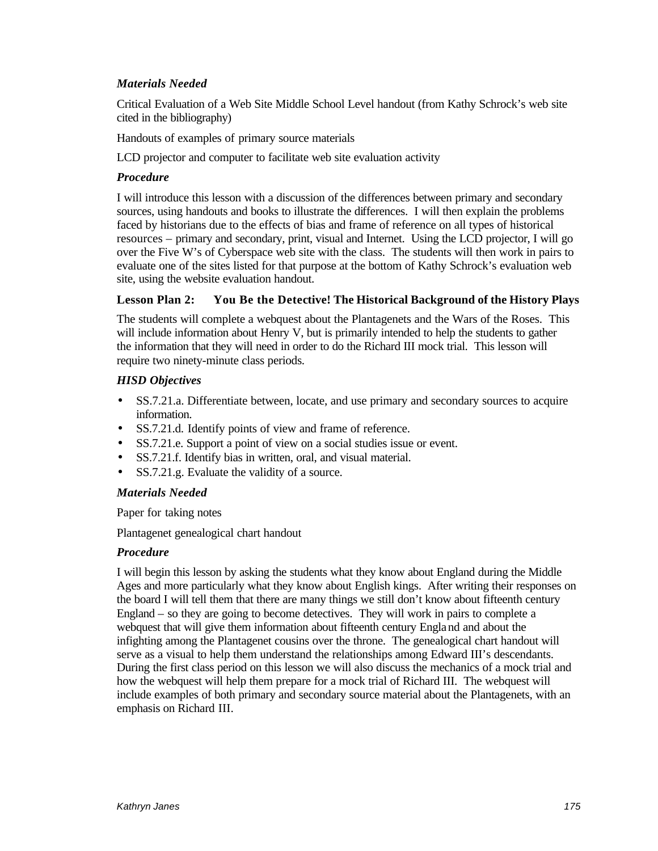## *Materials Needed*

Critical Evaluation of a Web Site Middle School Level handout (from Kathy Schrock's web site cited in the bibliography)

Handouts of examples of primary source materials

LCD projector and computer to facilitate web site evaluation activity

#### *Procedure*

I will introduce this lesson with a discussion of the differences between primary and secondary sources, using handouts and books to illustrate the differences. I will then explain the problems faced by historians due to the effects of bias and frame of reference on all types of historical resources – primary and secondary, print, visual and Internet. Using the LCD projector, I will go over the Five W's of Cyberspace web site with the class. The students will then work in pairs to evaluate one of the sites listed for that purpose at the bottom of Kathy Schrock's evaluation web site, using the website evaluation handout.

## **Lesson Plan 2: You Be the Detective! The Historical Background of the History Plays**

The students will complete a webquest about the Plantagenets and the Wars of the Roses. This will include information about Henry V, but is primarily intended to help the students to gather the information that they will need in order to do the Richard III mock trial. This lesson will require two ninety-minute class periods.

## *HISD Objectives*

- SS.7.21.a. Differentiate between, locate, and use primary and secondary sources to acquire information.
- SS.7.21.d. Identify points of view and frame of reference.
- SS.7.21.e. Support a point of view on a social studies issue or event.
- SS.7.21.f. Identify bias in written, oral, and visual material.
- SS.7.21.g. Evaluate the validity of a source.

#### *Materials Needed*

Paper for taking notes

Plantagenet genealogical chart handout

## *Procedure*

I will begin this lesson by asking the students what they know about England during the Middle Ages and more particularly what they know about English kings. After writing their responses on the board I will tell them that there are many things we still don't know about fifteenth century England – so they are going to become detectives. They will work in pairs to complete a webquest that will give them information about fifteenth century England and about the infighting among the Plantagenet cousins over the throne. The genealogical chart handout will serve as a visual to help them understand the relationships among Edward III's descendants. During the first class period on this lesson we will also discuss the mechanics of a mock trial and how the webquest will help them prepare for a mock trial of Richard III. The webquest will include examples of both primary and secondary source material about the Plantagenets, with an emphasis on Richard III.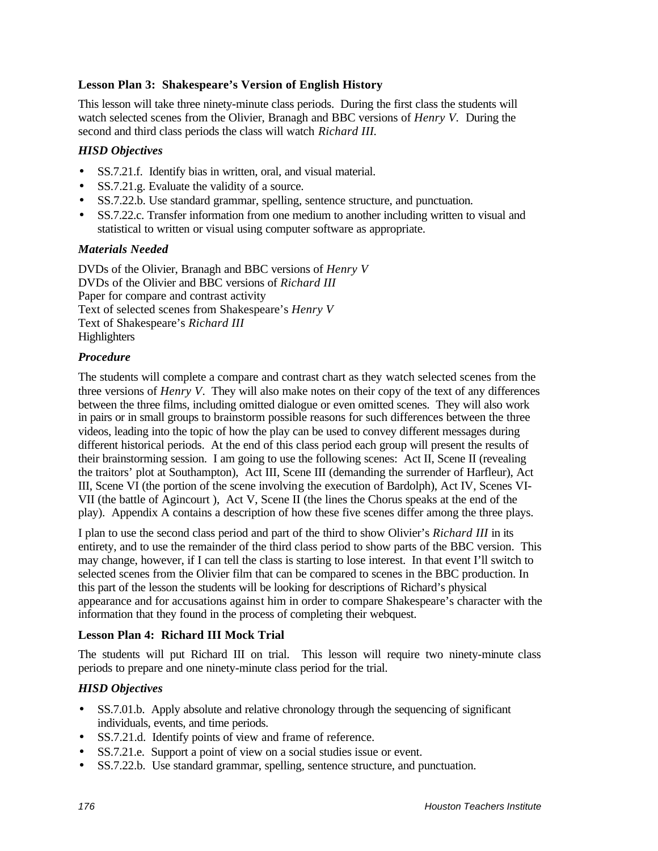# **Lesson Plan 3: Shakespeare's Version of English History**

This lesson will take three ninety-minute class periods. During the first class the students will watch selected scenes from the Olivier, Branagh and BBC versions of *Henry V.* During the second and third class periods the class will watch *Richard III.*

# *HISD Objectives*

- SS.7.21.f. Identify bias in written, oral, and visual material.
- SS.7.21.g. Evaluate the validity of a source.
- SS.7.22.b. Use standard grammar, spelling, sentence structure, and punctuation.
- SS.7.22.c. Transfer information from one medium to another including written to visual and statistical to written or visual using computer software as appropriate.

## *Materials Needed*

DVDs of the Olivier, Branagh and BBC versions of *Henry V* DVDs of the Olivier and BBC versions of *Richard III* Paper for compare and contrast activity Text of selected scenes from Shakespeare's *Henry V* Text of Shakespeare's *Richard III* **Highlighters** 

## *Procedure*

The students will complete a compare and contrast chart as they watch selected scenes from the three versions of *Henry V*. They will also make notes on their copy of the text of any differences between the three films, including omitted dialogue or even omitted scenes. They will also work in pairs or in small groups to brainstorm possible reasons for such differences between the three videos, leading into the topic of how the play can be used to convey different messages during different historical periods. At the end of this class period each group will present the results of their brainstorming session. I am going to use the following scenes: Act II, Scene II (revealing the traitors' plot at Southampton), Act III, Scene III (demanding the surrender of Harfleur), Act III, Scene VI (the portion of the scene involving the execution of Bardolph), Act IV, Scenes VI-VII (the battle of Agincourt ), Act V, Scene II (the lines the Chorus speaks at the end of the play). Appendix A contains a description of how these five scenes differ among the three plays.

I plan to use the second class period and part of the third to show Olivier's *Richard III* in its entirety, and to use the remainder of the third class period to show parts of the BBC version. This may change, however, if I can tell the class is starting to lose interest. In that event I'll switch to selected scenes from the Olivier film that can be compared to scenes in the BBC production. In this part of the lesson the students will be looking for descriptions of Richard's physical appearance and for accusations against him in order to compare Shakespeare's character with the information that they found in the process of completing their webquest.

## **Lesson Plan 4: Richard III Mock Trial**

The students will put Richard III on trial. This lesson will require two ninety-minute class periods to prepare and one ninety-minute class period for the trial.

# *HISD Objectives*

- SS.7.01.b. Apply absolute and relative chronology through the sequencing of significant individuals, events, and time periods.
- SS.7.21.d. Identify points of view and frame of reference.
- SS.7.21.e. Support a point of view on a social studies issue or event.
- SS.7.22.b. Use standard grammar, spelling, sentence structure, and punctuation.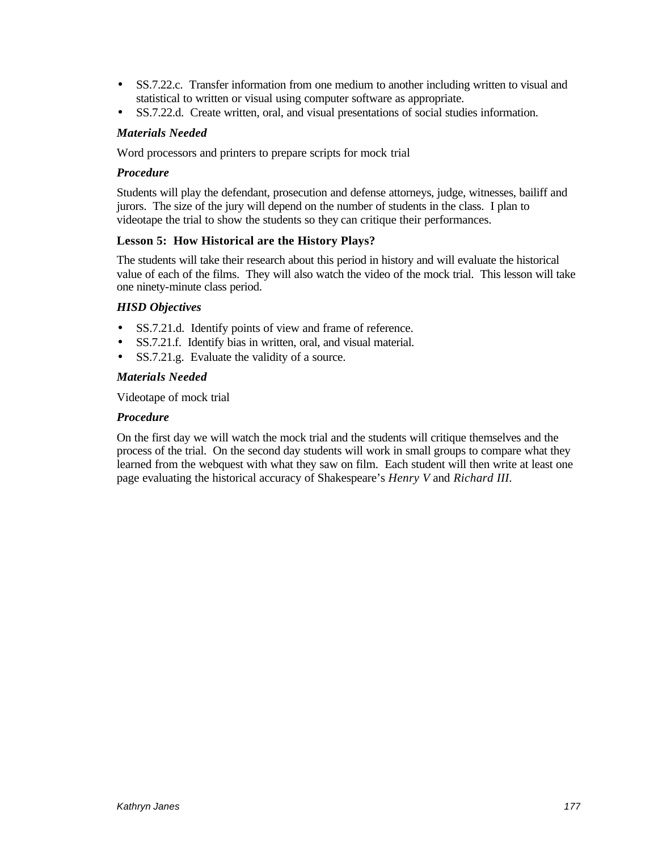- SS.7.22.c. Transfer information from one medium to another including written to visual and statistical to written or visual using computer software as appropriate.
- SS.7.22.d. Create written, oral, and visual presentations of social studies information.

# *Materials Needed*

Word processors and printers to prepare scripts for mock trial

# *Procedure*

Students will play the defendant, prosecution and defense attorneys, judge, witnesses, bailiff and jurors. The size of the jury will depend on the number of students in the class. I plan to videotape the trial to show the students so they can critique their performances.

# **Lesson 5: How Historical are the History Plays?**

The students will take their research about this period in history and will evaluate the historical value of each of the films. They will also watch the video of the mock trial. This lesson will take one ninety-minute class period.

# *HISD Objectives*

- SS.7.21.d. Identify points of view and frame of reference.
- SS.7.21.f. Identify bias in written, oral, and visual material.
- SS.7.21.g. Evaluate the validity of a source.

## *Materials Needed*

Videotape of mock trial

## *Procedure*

On the first day we will watch the mock trial and the students will critique themselves and the process of the trial. On the second day students will work in small groups to compare what they learned from the webquest with what they saw on film. Each student will then write at least one page evaluating the historical accuracy of Shakespeare's *Henry V* and *Richard III.*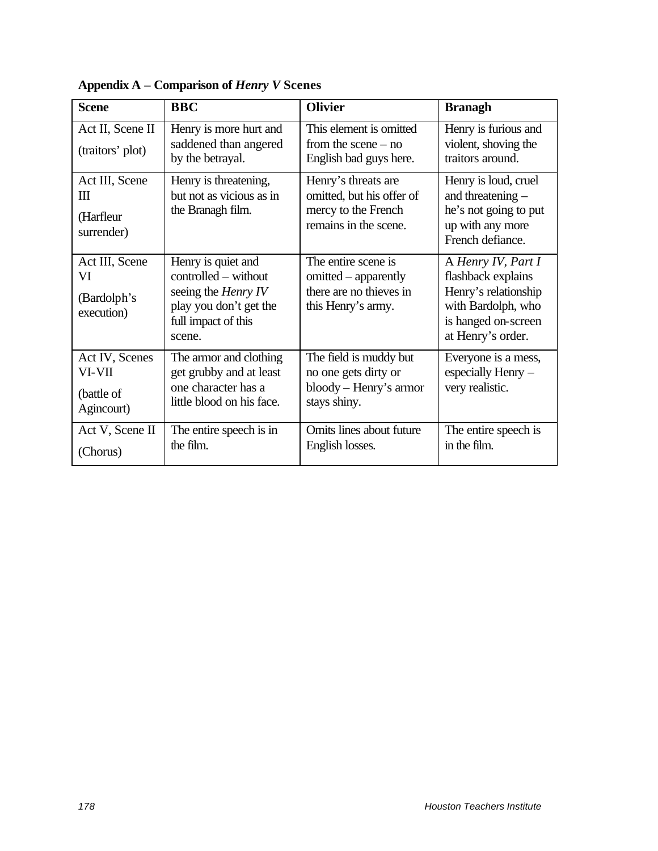| <b>Scene</b>                                         | <b>BBC</b>                                                                                                                          | <b>Olivier</b>                                                                                           | <b>Branagh</b>                                                                                                                     |
|------------------------------------------------------|-------------------------------------------------------------------------------------------------------------------------------------|----------------------------------------------------------------------------------------------------------|------------------------------------------------------------------------------------------------------------------------------------|
| Act II, Scene II<br>(traitors' plot)                 | Henry is more hurt and<br>saddened than angered<br>by the betrayal.                                                                 | This element is omitted<br>from the scene $-$ no<br>English bad guys here.                               | Henry is furious and<br>violent, shoving the<br>traitors around.                                                                   |
| Act III, Scene<br>Ш<br>(Harfleur<br>surrender)       | Henry is threatening,<br>but not as vicious as in<br>the Branagh film.                                                              | Henry's threats are<br>omitted, but his offer of<br>mercy to the French<br>remains in the scene.         | Henry is loud, cruel<br>and threatening -<br>he's not going to put<br>up with any more<br>French defiance.                         |
| Act III, Scene<br>VI<br>(Bardolph's<br>execution)    | Henry is quiet and<br>controlled – without<br>seeing the <i>Henry IV</i><br>play you don't get the<br>full impact of this<br>scene. | The entire scene is<br>omitted – apparently<br>there are no thieves in<br>this Henry's army.             | A Henry IV, Part I<br>flashback explains<br>Henry's relationship<br>with Bardolph, who<br>is hanged on-screen<br>at Henry's order. |
| Act IV, Scenes<br>VI-VII<br>(battle of<br>Agincourt) | The armor and clothing<br>get grubby and at least<br>one character has a<br>little blood on his face.                               | The field is muddy but<br>no one gets dirty or<br>$\text{bloody} - \text{Henry's}$ armor<br>stays shiny. | Everyone is a mess,<br>especially Henry -<br>very realistic.                                                                       |
| Act V, Scene II<br>(Chorus)                          | The entire speech is in<br>the film.                                                                                                | Omits lines about future<br>English losses.                                                              | The entire speech is<br>in the film.                                                                                               |

**Appendix A – Comparison of** *Henry V* **Scenes**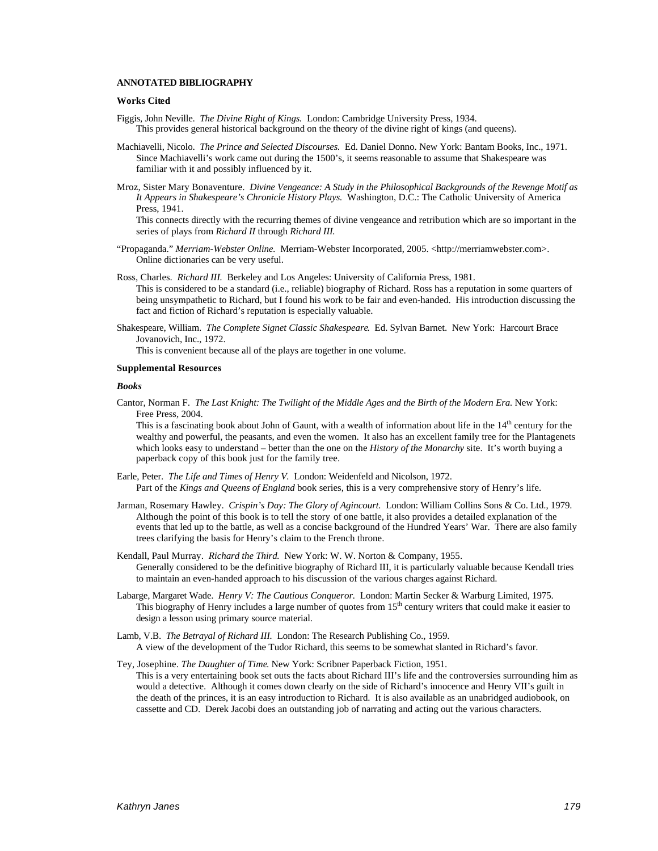#### **ANNOTATED BIBLIOGRAPHY**

#### **Works Cited**

- Figgis, John Neville. *The Divine Right of Kings.* London: Cambridge University Press, 1934. This provides general historical background on the theory of the divine right of kings (and queens).
- Machiavelli, Nicolo. *The Prince and Selected Discourses.* Ed. Daniel Donno. New York: Bantam Books, Inc., 1971. Since Machiavelli's work came out during the 1500's, it seems reasonable to assume that Shakespeare was familiar with it and possibly influenced by it.
- Mroz, Sister Mary Bonaventure. *Divine Vengeance: A Study in the Philosophical Backgrounds of the Revenge Motif as It Appears in Shakespeare's Chronicle History Plays.* Washington, D.C.: The Catholic University of America Press, 1941.

This connects directly with the recurring themes of divine vengeance and retribution which are so important in the series of plays from *Richard II* through *Richard III.*

- "Propaganda." *Merriam-Webster Online.* Merriam-Webster Incorporated, 2005. <http://merriamwebster.com>. Online dictionaries can be very useful.
- Ross, Charles. *Richard III.* Berkeley and Los Angeles: University of California Press, 1981. This is considered to be a standard (i.e., reliable) biography of Richard. Ross has a reputation in some quarters of being unsympathetic to Richard, but I found his work to be fair and even-handed. His introduction discussing the fact and fiction of Richard's reputation is especially valuable.
- Shakespeare, William. *The Complete Signet Classic Shakespeare*. Ed. Sylvan Barnet. New York: Harcourt Brace Jovanovich, Inc., 1972.

This is convenient because all of the plays are together in one volume.

#### **Supplemental Resources**

#### *Books*

Cantor, Norman F. *The Last Knight: The Twilight of the Middle Ages and the Birth of the Modern Era*. New York: Free Press, 2004.

This is a fascinating book about John of Gaunt, with a wealth of information about life in the  $14<sup>th</sup>$  century for the wealthy and powerful, the peasants, and even the women. It also has an excellent family tree for the Plantagenets which looks easy to understand – better than the one on the *History of the Monarchy* site. It's worth buying a paperback copy of this book just for the family tree.

- Earle, Peter. *The Life and Times of Henry V.* London: Weidenfeld and Nicolson, 1972. Part of the *Kings and Queens of England* book series, this is a very comprehensive story of Henry's life.
- Jarman, Rosemary Hawley. *Crispin's Day: The Glory of Agincourt.* London: William Collins Sons & Co. Ltd., 1979. Although the point of this book is to tell the story of one battle, it also provides a detailed explanation of the events that led up to the battle, as well as a concise background of the Hundred Years' War. There are also family trees clarifying the basis for Henry's claim to the French throne.
- Kendall, Paul Murray. *Richard the Third.* New York: W. W. Norton & Company, 1955. Generally considered to be the definitive biography of Richard III, it is particularly valuable because Kendall tries to maintain an even-handed approach to his discussion of the various charges against Richard.
- Labarge, Margaret Wade. *Henry V: The Cautious Conqueror.* London: Martin Secker & Warburg Limited, 1975. This biography of Henry includes a large number of quotes from  $15<sup>th</sup>$  century writers that could make it easier to design a lesson using primary source material.
- Lamb, V.B. *The Betrayal of Richard III.* London: The Research Publishing Co., 1959. A view of the development of the Tudor Richard, this seems to be somewhat slanted in Richard's favor.
- Tey, Josephine. *The Daughter of Time*. New York: Scribner Paperback Fiction, 1951. This is a very entertaining book set outs the facts about Richard III's life and the controversies surrounding him as would a detective. Although it comes down clearly on the side of Richard's innocence and Henry VII's guilt in the death of the princes, it is an easy introduction to Richard. It is also available as an unabridged audiobook, on cassette and CD. Derek Jacobi does an outstanding job of narrating and acting out the various characters.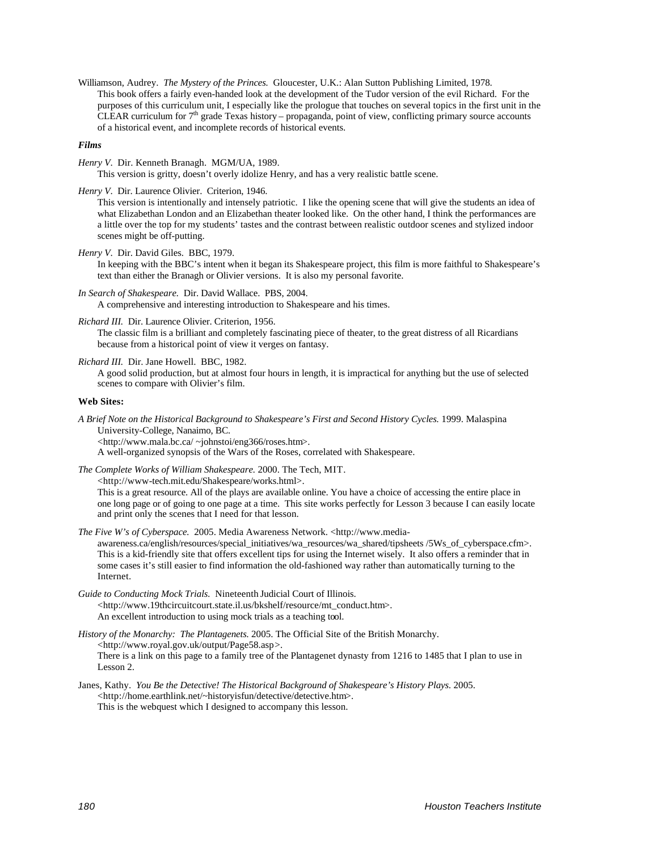Williamson, Audrey. *The Mystery of the Princes.* Gloucester, U.K.: Alan Sutton Publishing Limited, 1978. This book offers a fairly even-handed look at the development of the Tudor version of the evil Richard. For the purposes of this curriculum unit, I especially like the prologue that touches on several topics in the first unit in the CLEAR curriculum for  $7<sup>th</sup>$  grade Texas history – propaganda, point of view, conflicting primary source accounts of a historical event, and incomplete records of historical events.

#### *Films*

*Henry V*. Dir. Kenneth Branagh. MGM/UA, 1989.

This version is gritty, doesn't overly idolize Henry, and has a very realistic battle scene.

*Henry V*. Dir. Laurence Olivier. Criterion, 1946.

This version is intentionally and intensely patriotic. I like the opening scene that will give the students an idea of what Elizabethan London and an Elizabethan theater looked like. On the other hand, I think the performances are a little over the top for my students' tastes and the contrast between realistic outdoor scenes and stylized indoor scenes might be off-putting.

*Henry V*. Dir. David Giles. BBC, 1979.

In keeping with the BBC's intent when it began its Shakespeare project, this film is more faithful to Shakespeare's text than either the Branagh or Olivier versions. It is also my personal favorite.

- *In Search of Shakespeare.* Dir. David Wallace. PBS, 2004. A comprehensive and interesting introduction to Shakespeare and his times.
- *Richard III.* Dir. Laurence Olivier. Criterion, 1956.

The classic film is a brilliant and completely fascinating piece of theater, to the great distress of all Ricardians because from a historical point of view it verges on fantasy.

*Richard III.* Dir. Jane Howell. BBC, 1982.

A good solid production, but at almost four hours in length, it is impractical for anything but the use of selected scenes to compare with Olivier's film.

#### **Web Sites:**

*A Brief Note on the Historical Background to Shakespeare's First and Second History Cycles.* 1999. Malaspina University-College, Nanaimo, BC. <http://www.mala.bc.ca/ ~johnstoi/eng366/roses.htm>. A well-organized synopsis of the Wars of the Roses, correlated with Shakespeare.

*The Complete Works of William Shakespeare.* 2000. The Tech, MIT.

<http://www-tech.mit.edu/Shakespeare/works.html>.

This is a great resource. All of the plays are available online. You have a choice of accessing the entire place in one long page or of going to one page at a time. This site works perfectly for Lesson 3 because I can easily locate and print only the scenes that I need for that lesson.

*The Five W's of Cyberspace.* 2005. Media Awareness Network. <http://www.media-

awareness.ca/english/resources/special\_initiatives/wa\_resources/wa\_shared/tipsheets /5Ws\_of\_cyberspace.cfm>. This is a kid-friendly site that offers excellent tips for using the Internet wisely. It also offers a reminder that in some cases it's still easier to find information the old-fashioned way rather than automatically turning to the Internet.

*Guide to Conducting Mock Trials.* Nineteenth Judicial Court of Illinois. <http://www.19thcircuitcourt.state.il.us/bkshelf/resource/mt\_conduct.htm>. An excellent introduction to using mock trials as a teaching tool.

*History of the Monarchy: The Plantagenets.* 2005. The Official Site of the British Monarchy. <http://www.royal.gov.uk/output/Page58.asp>. There is a link on this page to a family tree of the Plantagenet dynasty from 1216 to 1485 that I plan to use in Lesson 2.

Janes, Kathy. *You Be the Detective! The Historical Background of Shakespeare's History Plays.* 2005. <http://home.earthlink.net/~historyisfun/detective/detective.htm>. This is the webquest which I designed to accompany this lesson.